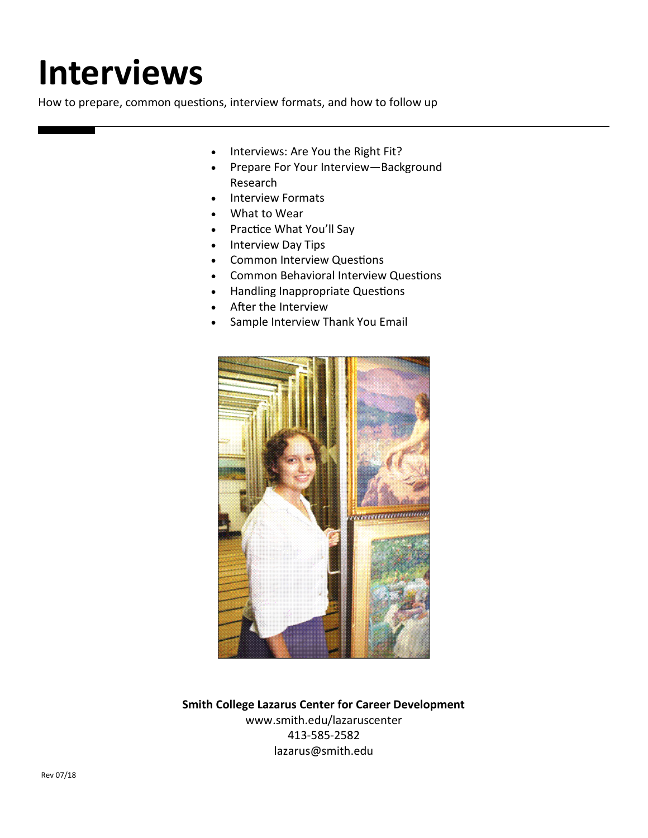# **Interviews**

How to prepare, common questions, interview formats, and how to follow up

- Interviews: Are You the Right Fit?
- Prepare For Your Interview-Background Research
- Interview Formats
- What to Wear
- Practice What You'll Say
- Interview Day Tips
- Common Interview Questions
- Common Behavioral Interview Questions
- Handling Inappropriate Questions
- After the Interview
- Sample Interview Thank You Email



**Smith College Lazarus Center for Career Development** www.smith.edu/lazaruscenter 413-585-2582 lazarus@smith.edu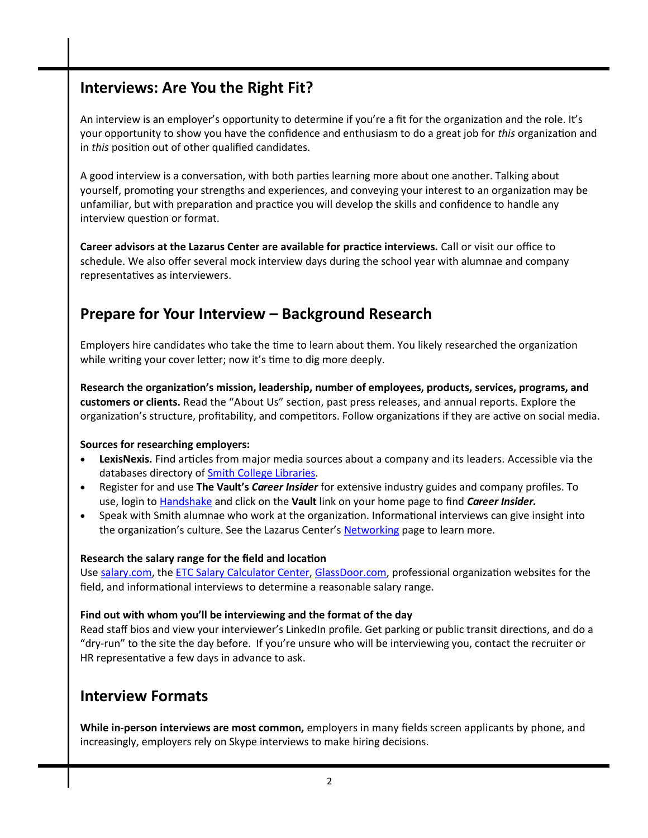## **Interviews: Are You the Right Fit?**

An interview is an employer's opportunity to determine if you're a fit for the organization and the role. It's your opportunity to show you have the confidence and enthusiasm to do a great job for *this* organization and in *this* position out of other qualified candidates.

A good interview is a conversation, with both parties learning more about one another. Talking about yourself, promoting your strengths and experiences, and conveying your interest to an organization may be unfamiliar, but with preparation and practice you will develop the skills and confidence to handle any interview question or format.

**Career advisors at the Lazarus Center are available for practice interviews.** Call or visit our office to schedule. We also offer several mock interview days during the school year with alumnae and company representatives as interviewers.

## **Prepare for Your Interview – Background Research**

Employers hire candidates who take the time to learn about them. You likely researched the organization while writing your cover letter; now it's time to dig more deeply.

**Research the organization's mission, leadership, number of employees, products, services, programs, and customers or clients.** Read the "About Us" section, past press releases, and annual reports. Explore the organization's structure, profitability, and competitors. Follow organizations if they are active on social media.

#### **Sources for researching employers:**

- **LexisNexis.** Find articles from major media sources about a company and its leaders. Accessible via the databases directory of **Smith College Libraries**.
- Register for and use **The Vault's** *Career Insider* for extensive industry guides and company profiles. To use, login to [Handshake](https://smith.joinhandshake.com/students) and click on the **Vault** link on your home page to find *Career Insider.*
- Speak with Smith alumnae who work at the organization. Informational interviews can give insight into the organization's culture. See the Lazarus Center's [Networking](http://www.smith.edu/lazaruscenter/resources_networking.php) page to learn more.

#### **Research the salary range for the field and location**

Use [salary.com,](http://www.salary.com/) the [ETC Salary Calculator Center,](https://www.jobsearchintelligence.com/salary-calculator-intro-etc) [GlassDoor.com,](http://www.glassdoor.com/index.htm) professional organization websites for the field, and informational interviews to determine a reasonable salary range.

#### **Find out with whom you'll be interviewing and the format of the day**

Read staff bios and view your interviewer's LinkedIn profile. Get parking or public transit directions, and do a "dry-run" to the site the day before. If you're unsure who will be interviewing you, contact the recruiter or HR representative a few days in advance to ask.

### **Interview Formats**

**While in-person interviews are most common,** employers in many fields screen applicants by phone, and increasingly, employers rely on Skype interviews to make hiring decisions.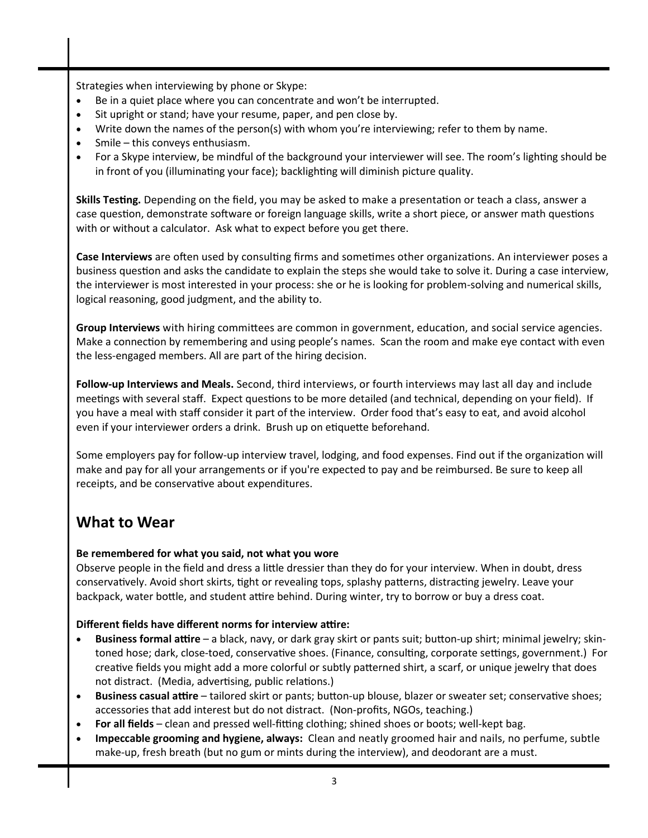Strategies when interviewing by phone or Skype:

- Be in a quiet place where you can concentrate and won't be interrupted.
- Sit upright or stand; have your resume, paper, and pen close by.
- Write down the names of the person(s) with whom you're interviewing; refer to them by name.
- Smile this conveys enthusiasm.
- For a Skype interview, be mindful of the background your interviewer will see. The room's lighting should be in front of you (illuminating your face); backlighting will diminish picture quality.

**Skills Testing.** Depending on the field, you may be asked to make a presentation or teach a class, answer a case question, demonstrate software or foreign language skills, write a short piece, or answer math questions with or without a calculator. Ask what to expect before you get there.

**Case Interviews** are often used by consulting firms and sometimes other organizations. An interviewer poses a business question and asks the candidate to explain the steps she would take to solve it. During a case interview, the interviewer is most interested in your process: she or he is looking for problem-solving and numerical skills, logical reasoning, good judgment, and the ability to.

**Group Interviews** with hiring committees are common in government, education, and social service agencies. Make a connection by remembering and using people's names. Scan the room and make eye contact with even the less-engaged members. All are part of the hiring decision.

**Follow-up Interviews and Meals.** Second, third interviews, or fourth interviews may last all day and include meetings with several staff. Expect questions to be more detailed (and technical, depending on your field). If you have a meal with staff consider it part of the interview. Order food that's easy to eat, and avoid alcohol even if your interviewer orders a drink. Brush up on etiquette beforehand.

Some employers pay for follow-up interview travel, lodging, and food expenses. Find out if the organization will make and pay for all your arrangements or if you're expected to pay and be reimbursed. Be sure to keep all receipts, and be conservative about expenditures.

## **What to Wear**

#### **Be remembered for what you said, not what you wore**

Observe people in the field and dress a little dressier than they do for your interview. When in doubt, dress conservatively. Avoid short skirts, tight or revealing tops, splashy patterns, distracting jewelry. Leave your backpack, water bottle, and student attire behind. During winter, try to borrow or buy a dress coat.

#### **Different fields have different norms for interview attire:**

- **Business formal attire** a black, navy, or dark gray skirt or pants suit; button-up shirt; minimal jewelry; skintoned hose; dark, close-toed, conservative shoes. (Finance, consulting, corporate settings, government.) For creative fields you might add a more colorful or subtly patterned shirt, a scarf, or unique jewelry that does not distract. (Media, advertising, public relations.)
- **Business casual attire** tailored skirt or pants; button-up blouse, blazer or sweater set; conservative shoes; accessories that add interest but do not distract. (Non-profits, NGOs, teaching.)
- **For all fields** clean and pressed well-fitting clothing; shined shoes or boots; well-kept bag.
- **Impeccable grooming and hygiene, always:** Clean and neatly groomed hair and nails, no perfume, subtle make-up, fresh breath (but no gum or mints during the interview), and deodorant are a must.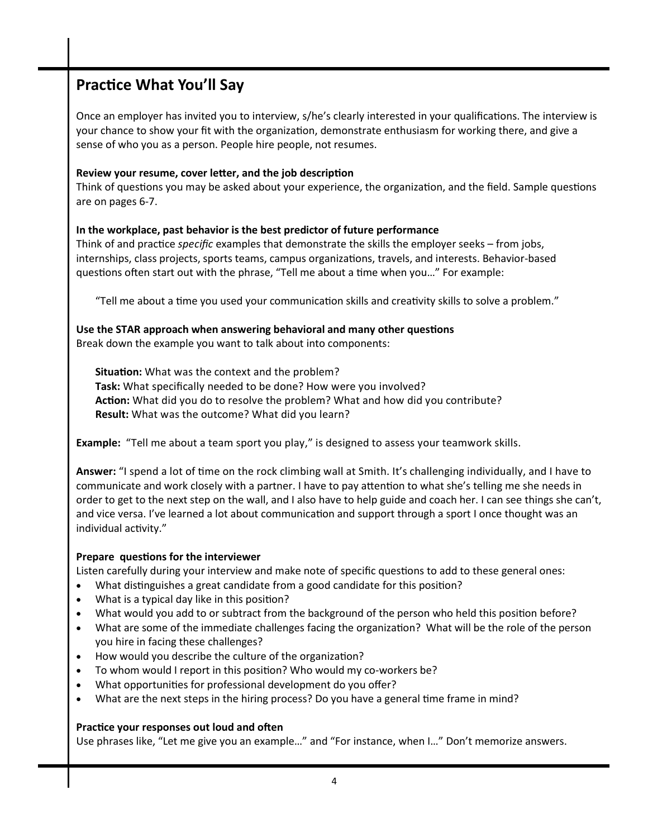## **Practice What You'll Say**

Once an employer has invited you to interview, s/he's clearly interested in your qualifications. The interview is your chance to show your fit with the organization, demonstrate enthusiasm for working there, and give a sense of who you as a person. People hire people, not resumes.

#### **Review your resume, cover letter, and the job description**

Think of questions you may be asked about your experience, the organization, and the field. Sample questions are on pages 6-7.

#### **In the workplace, past behavior is the best predictor of future performance**

Think of and practice *specific* examples that demonstrate the skills the employer seeks – from jobs, internships, class projects, sports teams, campus organizations, travels, and interests. Behavior-based questions often start out with the phrase, "Tell me about a time when you…" For example:

"Tell me about a time you used your communication skills and creativity skills to solve a problem."

## **Use the STAR approach when answering behavioral and many other questions**

Break down the example you want to talk about into components:

**Situation:** What was the context and the problem? **Task:** What specifically needed to be done? How were you involved? **Action:** What did you do to resolve the problem? What and how did you contribute? **Result:** What was the outcome? What did you learn?

**Example:** "Tell me about a team sport you play," is designed to assess your teamwork skills.

**Answer:** "I spend a lot of time on the rock climbing wall at Smith. It's challenging individually, and I have to communicate and work closely with a partner. I have to pay attention to what she's telling me she needs in order to get to the next step on the wall, and I also have to help guide and coach her. I can see things she can't, and vice versa. I've learned a lot about communication and support through a sport I once thought was an individual activity."

#### **Prepare questions for the interviewer**

Listen carefully during your interview and make note of specific questions to add to these general ones:

- What distinguishes a great candidate from a good candidate for this position?
- What is a typical day like in this position?
- What would you add to or subtract from the background of the person who held this position before?
- What are some of the immediate challenges facing the organization? What will be the role of the person you hire in facing these challenges?
- How would you describe the culture of the organization?
- To whom would I report in this position? Who would my co-workers be?
- What opportunities for professional development do you offer?
- What are the next steps in the hiring process? Do you have a general time frame in mind?

#### **Practice your responses out loud and often**

Use phrases like, "Let me give you an example…" and "For instance, when I…" Don't memorize answers.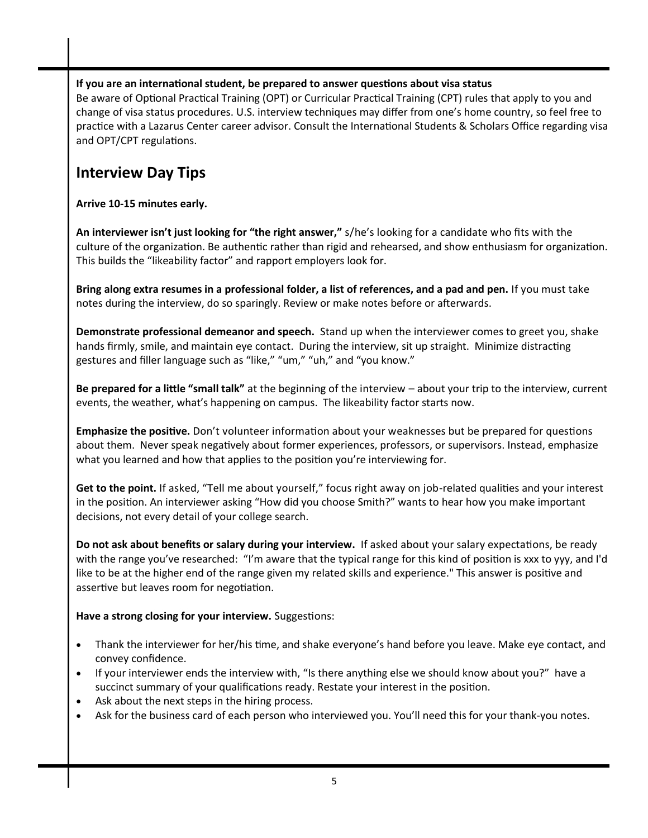#### **If you are an international student, be prepared to answer questions about visa status**

Be aware of Optional Practical Training (OPT) or Curricular Practical Training (CPT) rules that apply to you and change of visa status procedures. U.S. interview techniques may differ from one's home country, so feel free to practice with a Lazarus Center career advisor. Consult the International Students & Scholars Office regarding visa and OPT/CPT regulations.

## **Interview Day Tips**

**Arrive 10-15 minutes early.**

**An interviewer isn't just looking for "the right answer,"** s/he's looking for a candidate who fits with the culture of the organization. Be authentic rather than rigid and rehearsed, and show enthusiasm for organization. This builds the "likeability factor" and rapport employers look for.

**Bring along extra resumes in a professional folder, a list of references, and a pad and pen.** If you must take notes during the interview, do so sparingly. Review or make notes before or afterwards.

**Demonstrate professional demeanor and speech.** Stand up when the interviewer comes to greet you, shake hands firmly, smile, and maintain eye contact. During the interview, sit up straight. Minimize distracting gestures and filler language such as "like," "um," "uh," and "you know."

**Be prepared for a little "small talk"** at the beginning of the interview – about your trip to the interview, current events, the weather, what's happening on campus. The likeability factor starts now.

**Emphasize the positive.** Don't volunteer information about your weaknesses but be prepared for questions about them. Never speak negatively about former experiences, professors, or supervisors. Instead, emphasize what you learned and how that applies to the position you're interviewing for.

**Get to the point.** If asked, "Tell me about yourself," focus right away on job-related qualities and your interest in the position. An interviewer asking "How did you choose Smith?" wants to hear how you make important decisions, not every detail of your college search.

**Do not ask about benefits or salary during your interview.** If asked about your salary expectations, be ready with the range you've researched: "I'm aware that the typical range for this kind of position is xxx to yyy, and I'd like to be at the higher end of the range given my related skills and experience." This answer is positive and assertive but leaves room for negotiation.

**Have a strong closing for your interview.** Suggestions:

- Thank the interviewer for her/his time, and shake everyone's hand before you leave. Make eye contact, and convey confidence.
- If your interviewer ends the interview with, "Is there anything else we should know about you?" have a succinct summary of your qualifications ready. Restate your interest in the position.
- Ask about the next steps in the hiring process.
- Ask for the business card of each person who interviewed you. You'll need this for your thank-you notes.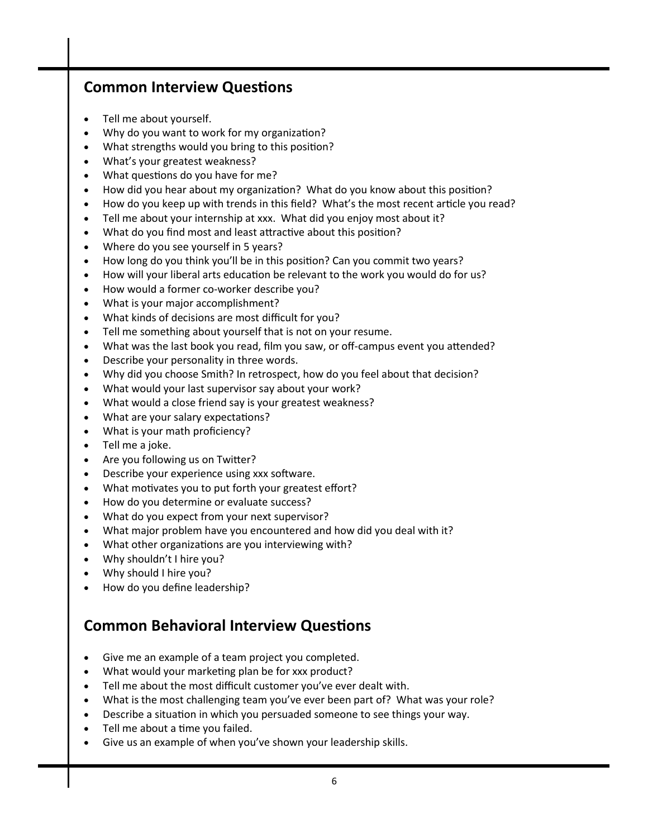## **Common Interview Questions**

- Tell me about yourself.
- Why do you want to work for my organization?
- What strengths would you bring to this position?
- What's your greatest weakness?
- What questions do you have for me?
- How did you hear about my organization? What do you know about this position?
- How do you keep up with trends in this field? What's the most recent article you read?
- Tell me about your internship at xxx. What did you enjoy most about it?
- What do you find most and least attractive about this position?
- Where do you see yourself in 5 years?
- How long do you think you'll be in this position? Can you commit two years?
- How will your liberal arts education be relevant to the work you would do for us?
- How would a former co-worker describe you?
- What is your major accomplishment?
- What kinds of decisions are most difficult for you?
- Tell me something about yourself that is not on your resume.
- What was the last book you read, film you saw, or off-campus event you attended?
- Describe your personality in three words.
- Why did you choose Smith? In retrospect, how do you feel about that decision?
- What would your last supervisor say about your work?
- What would a close friend say is your greatest weakness?
- What are your salary expectations?
- What is your math proficiency?
- Tell me a joke.
- Are you following us on Twitter?
- Describe your experience using xxx software.
- What motivates you to put forth your greatest effort?
- How do you determine or evaluate success?
- What do you expect from your next supervisor?
- What major problem have you encountered and how did you deal with it?
- What other organizations are you interviewing with?
- Why shouldn't I hire you?
- Why should I hire you?
- How do you define leadership?

## **Common Behavioral Interview Questions**

- Give me an example of a team project you completed.
- What would your marketing plan be for xxx product?
- Tell me about the most difficult customer you've ever dealt with.
- What is the most challenging team you've ever been part of? What was your role?
- Describe a situation in which you persuaded someone to see things your way.
- Tell me about a time you failed.
- Give us an example of when you've shown your leadership skills.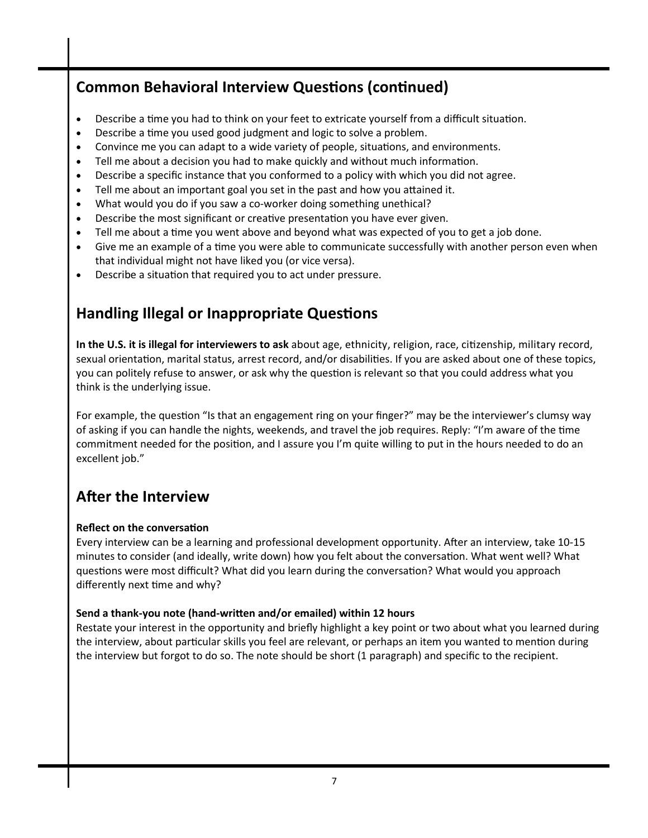## **Common Behavioral Interview Questions (continued)**

- Describe a time you had to think on your feet to extricate yourself from a difficult situation.
- Describe a time you used good judgment and logic to solve a problem.
- Convince me you can adapt to a wide variety of people, situations, and environments.
- Tell me about a decision you had to make quickly and without much information.
- Describe a specific instance that you conformed to a policy with which you did not agree.
- Tell me about an important goal you set in the past and how you attained it.
- What would you do if you saw a co-worker doing something unethical?
- Describe the most significant or creative presentation you have ever given.
- Tell me about a time you went above and beyond what was expected of you to get a job done.
- Give me an example of a time you were able to communicate successfully with another person even when that individual might not have liked you (or vice versa).
- Describe a situation that required you to act under pressure.

## **Handling Illegal or Inappropriate Questions**

**In the U.S. it is illegal for interviewers to ask** about age, ethnicity, religion, race, citizenship, military record, sexual orientation, marital status, arrest record, and/or disabilities. If you are asked about one of these topics, you can politely refuse to answer, or ask why the question is relevant so that you could address what you think is the underlying issue.

For example, the question "Is that an engagement ring on your finger?" may be the interviewer's clumsy way of asking if you can handle the nights, weekends, and travel the job requires. Reply: "I'm aware of the time commitment needed for the position, and I assure you I'm quite willing to put in the hours needed to do an excellent job."

## **After the Interview**

#### **Reflect on the conversation**

Every interview can be a learning and professional development opportunity. After an interview, take 10-15 minutes to consider (and ideally, write down) how you felt about the conversation. What went well? What questions were most difficult? What did you learn during the conversation? What would you approach differently next time and why?

#### **Send a thank-you note (hand-written and/or emailed) within 12 hours**

Restate your interest in the opportunity and briefly highlight a key point or two about what you learned during the interview, about particular skills you feel are relevant, or perhaps an item you wanted to mention during the interview but forgot to do so. The note should be short (1 paragraph) and specific to the recipient.